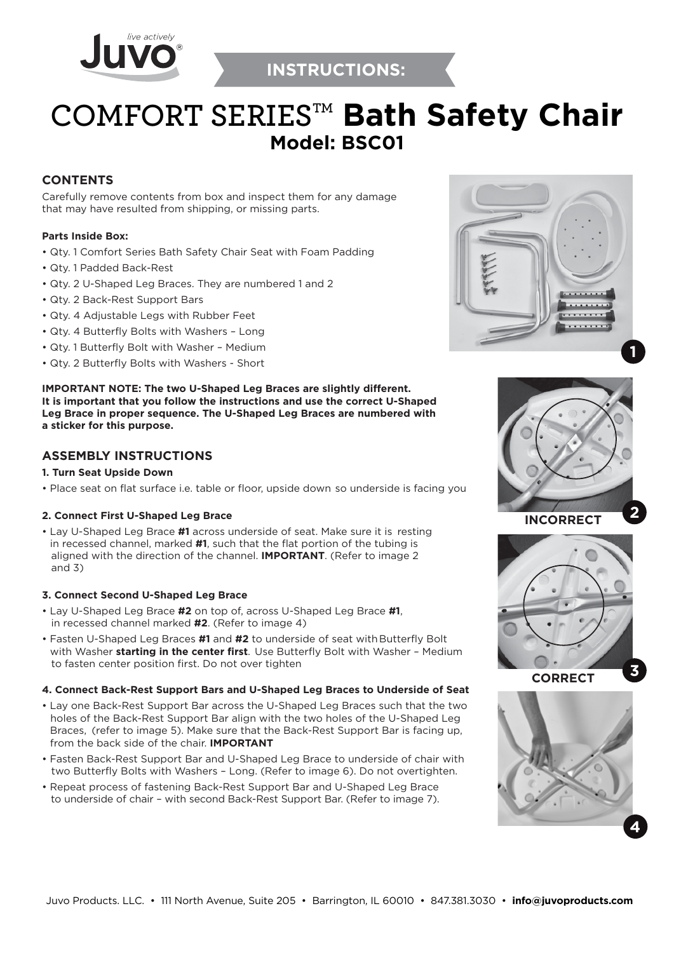



# **COMFORT SERIESTM Bath Safety Chair Model: BSC01**

## **CONTENTS**

Carefully remove contents from box and inspect them for any damage that may have resulted from shipping, or missing parts.

#### **Parts Inside Box:**

- Qty. 1 Comfort Series Bath Safety Chair Seat with Foam Padding
- Qty. 1 Padded Back-Rest
- Qty. 2 U-Shaped Leg Braces. They are numbered 1 and 2
- Qty. 2 Back-Rest Support Bars
- Qty. 4 Adjustable Legs with Rubber Feet
- Qty. 4 Butterfly Bolts with Washers Long
- Qty. 1 Butterfly Bolt with Washer Medium
- Qty. 2 Butterfly Bolts with Washers Short

**IMPORTANT NOTE: The two U-Shaped Leg Braces are slightly different. It is important that you follow the instructions and use the correct U-Shaped Leg Brace in proper sequence. The U-Shaped Leg Braces are numbered with a sticker for this purpose.**

## **ASSEMBLY INSTRUCTIONS**

#### **1. Turn Seat Upside Down**

• Place seat on flat surface i.e. table or floor, upside down so underside is facing you

## **2. Connect First U-Shaped Leg Brace**

• Lay U-Shaped Leg Brace **#1** across underside of seat. Make sure it is resting in recessed channel, marked **#1**, such that the flat portion of the tubing is aligned with the direction of the channel. **IMPORTANT**. (Refer to image 2 and 3)

## **3. Connect Second U-Shaped Leg Brace**

- Lay U-Shaped Leg Brace **#2** on top of, across U-Shaped Leg Brace **#1**, in recessed channel marked **#2**. (Refer to image 4)
- Fasten U-Shaped Leg Braces **#1** and **#2** to underside of seat with Butterfly Bolt with Washer **starting in the center first**. Use Butterfly Bolt with Washer – Medium to fasten center position first. Do not over tighten

#### **4. Connect Back-Rest Support Bars and U-Shaped Leg Braces to Underside of Seat**

- Lay one Back-Rest Support Bar across the U-Shaped Leg Braces such that the two holes of the Back-Rest Support Bar align with the two holes of the U-Shaped Leg Braces, (refer to image 5). Make sure that the Back-Rest Support Bar is facing up, from the back side of the chair. **IMPORTANT**
- Fasten Back-Rest Support Bar and U-Shaped Leg Brace to underside of chair with two Butterfly Bolts with Washers – Long. (Refer to image 6). Do not overtighten.
- Repeat process of fastening Back-Rest Support Bar and U-Shaped Leg Brace to underside of chair – with second Back-Rest Support Bar. (Refer to image 7).







**CORRECT**